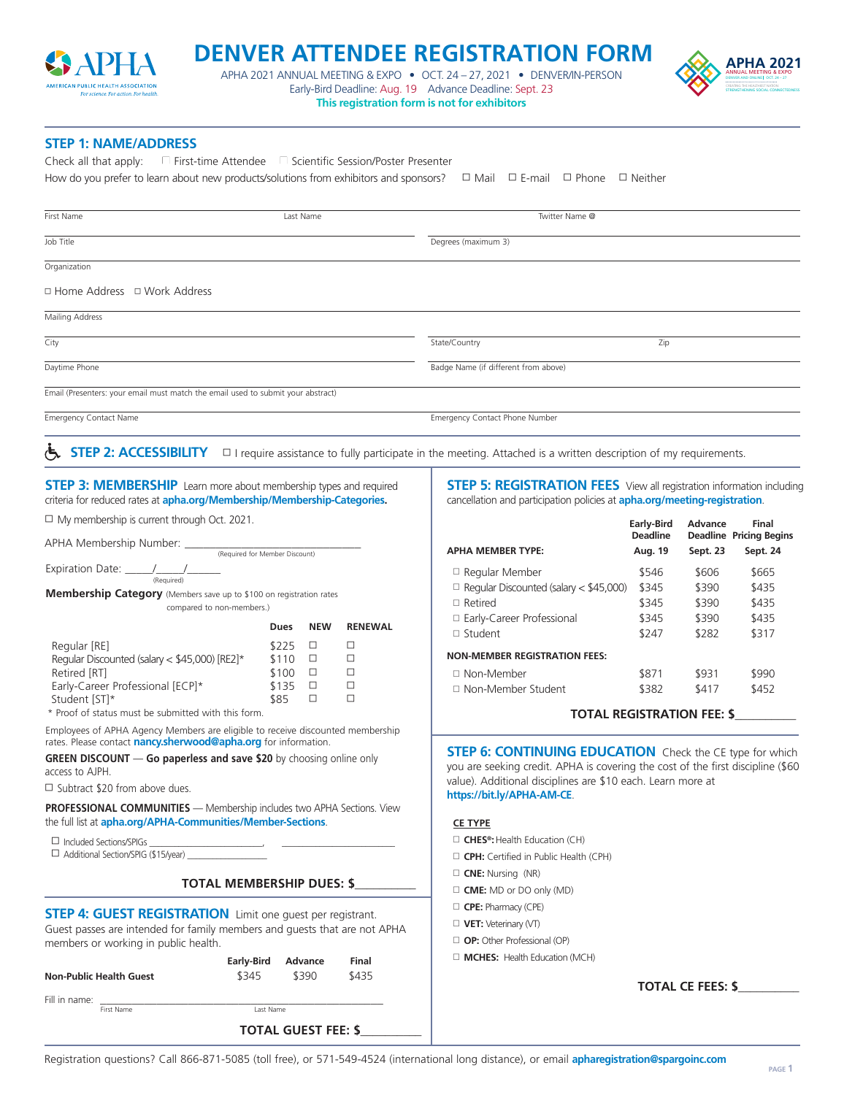

## **DENVER ATTENDEE REGISTRATION FORM APHA 2021**

APHA 2021 ANNUAL MEETING & EXPO  $\bullet$  OCT. 24 – 27, 2021  $\bullet$  DENVER/IN-PERSON DENSITY ONLY AND ONLY ONLY CONNECTED SEXTER Early-Bird Deadline: Aug. 19 Advance Deadline: Sept. 23 **This registration form is not for exhibitors** 



**STEP 1: NAME/ADDRESS** 

How do you prefer to learn about new products/solutions from exhibitors and sponsors?  $\Box$  Mail  $\Box$  E-mail  $\Box$  Phone  $\Box$  Neither Check all that apply: N First-time Attendee N Scientific Session/Poster Presenter

| First Name                                                                       | Last Name |                                      | Twitter Name @ |  |  |  |
|----------------------------------------------------------------------------------|-----------|--------------------------------------|----------------|--|--|--|
| Job Title                                                                        |           | Degrees (maximum 3)                  |                |  |  |  |
| Organization                                                                     |           |                                      |                |  |  |  |
| □ Home Address □ Work Address                                                    |           |                                      |                |  |  |  |
| Mailing Address                                                                  |           |                                      |                |  |  |  |
| City                                                                             |           | State/Country                        | Zip            |  |  |  |
| Daytime Phone                                                                    |           | Badge Name (if different from above) |                |  |  |  |
| Email (Presenters: your email must match the email used to submit your abstract) |           |                                      |                |  |  |  |
| <b>Emergency Contact Name</b>                                                    |           | Emergency Contact Phone Number       |                |  |  |  |

**STEP 2: ACCESSIBILITY** □ I require assistance to fully participate in the meeting. Attached is a written description of my requirements.

**STEP 3: MEMBERSHIP** Learn more about membership types and required criteria for reduced rates at **[apha.org/Membership/Membership-Categories.](http://apha.org/Membership/Membership-Categories)**   $\Box$  My membership is current through Oct. 2021.

APHA Membership Number:

|                                                                                                                                                                                        | (Required for Member Discount) |               |         |                           |  |  |  |  |
|----------------------------------------------------------------------------------------------------------------------------------------------------------------------------------------|--------------------------------|---------------|---------|---------------------------|--|--|--|--|
| (Required)                                                                                                                                                                             |                                |               |         |                           |  |  |  |  |
|                                                                                                                                                                                        |                                |               |         |                           |  |  |  |  |
| Membership Category (Members save up to \$100 on registration rates<br>compared to non-members.)                                                                                       |                                |               |         |                           |  |  |  |  |
|                                                                                                                                                                                        |                                |               |         |                           |  |  |  |  |
|                                                                                                                                                                                        |                                | Dues          | NEW     | <b>RENEWAL</b>            |  |  |  |  |
| Regular [RE]                                                                                                                                                                           |                                | \$225         | □       | п                         |  |  |  |  |
| Regular Discounted (salary $<$ \$45,000) [RE2] $*$                                                                                                                                     |                                | \$110         | $\Box$  | п                         |  |  |  |  |
| Retired [RT]                                                                                                                                                                           |                                | $$100$ $\Box$ | □       | □<br>п                    |  |  |  |  |
| Early-Career Professional [ECP]*<br>Student [ST]*                                                                                                                                      |                                | \$135<br>\$85 | п       | п                         |  |  |  |  |
| * Proof of status must be submitted with this form.                                                                                                                                    |                                |               |         |                           |  |  |  |  |
| Employees of APHA Agency Members are eligible to receive discounted membership<br>rates. Please contact <b>nancy.sherwood@apha.org</b> for information.                                |                                |               |         |                           |  |  |  |  |
| <b>GREEN DISCOUNT - Go paperless and save \$20</b> by choosing online only<br>access to AIPH                                                                                           |                                |               |         |                           |  |  |  |  |
| $\Box$ Subtract \$20 from above dues.                                                                                                                                                  |                                |               |         |                           |  |  |  |  |
| <b>PROFESSIONAL COMMUNITIES</b> - Membership includes two APHA Sections. View<br>the full list at apha.org/APHA-Communities/Member-Sections.                                           |                                |               |         |                           |  |  |  |  |
| □ Additional Section/SPIG (\$15/year)                                                                                                                                                  |                                |               |         |                           |  |  |  |  |
|                                                                                                                                                                                        |                                |               |         | TOTAL MEMBERSHIP DUES: \$ |  |  |  |  |
| <b>STEP 4: GUEST REGISTRATION</b> Limit one guest per registrant.<br>Guest passes are intended for family members and quests that are not APHA<br>members or working in public health. |                                |               |         |                           |  |  |  |  |
|                                                                                                                                                                                        | <b>Early-Bird</b>              |               | Advance | Final                     |  |  |  |  |
| <b>Non-Public Health Guest</b>                                                                                                                                                         | \$345                          |               | \$390   | \$435                     |  |  |  |  |

Fill in name:  $\frac{1}{\text{First Name}}$ 

 $First Name$ 

**STEP 5: REGISTRATION FEES** View all registration information including cancellation and participation policies at **[apha.org/meeting-registration](http://apha.org/meeting-registration)**.

|                                                 | <b>Early-Bird</b><br>Deadline | Advance  | Final<br><b>Deadline Pricing Begins</b> |  |  |
|-------------------------------------------------|-------------------------------|----------|-----------------------------------------|--|--|
| <b>APHA MEMBER TYPE:</b>                        | Aug. 19                       | Sept. 23 | Sept. 24                                |  |  |
| $\Box$ Regular Member                           | \$546                         | \$606    | \$665                                   |  |  |
| $\Box$ Regular Discounted (salary $<$ \$45,000) | \$345                         | \$390    | \$435                                   |  |  |
| $\Box$ Retired                                  | \$345                         | \$390    | \$435                                   |  |  |
| □ Early-Career Professional                     | \$345                         | \$390    | \$435                                   |  |  |
| $\Box$ Student                                  | \$247                         | \$282    | \$317                                   |  |  |
| <b>NON-MEMBER REGISTRATION FEES:</b>            |                               |          |                                         |  |  |
| □ Non-Member                                    | \$871                         | \$931    | \$990                                   |  |  |
| □ Non-Member Student                            | \$382                         | \$417    | \$452                                   |  |  |

**TOTAL REGISTRATION FEE: \$\_\_\_\_\_\_\_\_\_\_** 

**STEP 6: CONTINUING EDUCATION** Check the CE type for which you are seeking credit. APHA is covering the cost of the first discipline (\$60 value). Additional disciplines are \$10 each. Learn more at **<https://bit.ly/APHA-AM-CE>**.

## **CE TYPE**

- □ CHES<sup>®</sup>: Health Education (CH)
- **CPH:** Certified in Public Health (CPH)
- □ CNE: Nursing (NR)
- $\Box$  **CME:** MD or DO only (MD)
- **CPE:** Pharmacy (CPE)
- □ VET: Veterinary (VT)
- **D** OP: Other Professional (OP)
- **H MCHES:** Health Education (MCH)

**TOTAL CE FEES: \$\_\_\_\_\_\_\_\_\_\_** 

**TOTAL GUEST FEE: \$\_\_\_\_\_\_\_\_\_\_**